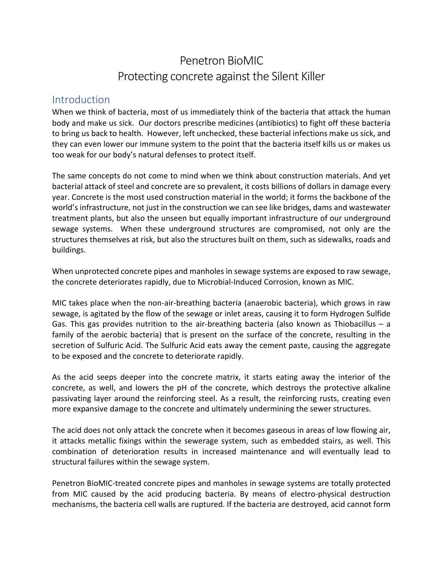# Penetron BioMIC Protecting concrete against the Silent Killer

#### Introduction

When we think of bacteria, most of us immediately think of the bacteria that attack the human body and make us sick. Our doctors prescribe medicines (antibiotics) to fight off these bacteria to bring us back to health. However, left unchecked, these bacterial infections make us sick, and they can even lower our immune system to the point that the bacteria itself kills us or makes us too weak for our body's natural defenses to protect itself.

The same concepts do not come to mind when we think about construction materials. And yet bacterial attack of steel and concrete are so prevalent, it costs billions of dollars in damage every year. Concrete is the most used construction material in the world; it forms the backbone of the world's infrastructure, not just in the construction we can see like bridges, dams and wastewater treatment plants, but also the unseen but equally important infrastructure of our underground sewage systems. When these underground structures are compromised, not only are the structures themselves at risk, but also the structures built on them, such as sidewalks, roads and buildings.

When unprotected concrete pipes and manholes in sewage systems are exposed to raw sewage, the concrete deteriorates rapidly, due to Microbial-Induced Corrosion, known as MIC.

MIC takes place when the non-air-breathing bacteria (anaerobic bacteria), which grows in raw sewage, is agitated by the flow of the sewage or inlet areas, causing it to form Hydrogen Sulfide Gas. This gas provides nutrition to the air-breathing bacteria (also known as Thiobacillus – a family of the aerobic bacteria) that is present on the surface of the concrete, resulting in the secretion of Sulfuric Acid. The Sulfuric Acid eats away the cement paste, causing the aggregate to be exposed and the concrete to deteriorate rapidly.

As the acid seeps deeper into the concrete matrix, it starts eating away the interior of the concrete, as well, and lowers the pH of the concrete, which destroys the protective alkaline passivating layer around the reinforcing steel. As a result, the reinforcing rusts, creating even more expansive damage to the concrete and ultimately undermining the sewer structures.

The acid does not only attack the concrete when it becomes gaseous in areas of low flowing air, it attacks metallic fixings within the sewerage system, such as embedded stairs, as well. This combination of deterioration results in increased maintenance and will eventually lead to structural failures within the sewage system.

Penetron BioMIC-treated concrete pipes and manholes in sewage systems are totally protected from MIC caused by the acid producing bacteria. By means of electro-physical destruction mechanisms, the bacteria cell walls are ruptured. If the bacteria are destroyed, acid cannot form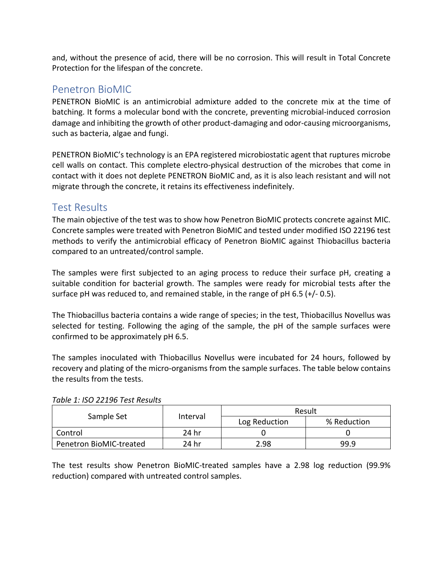and, without the presence of acid, there will be no corrosion. This will result in Total Concrete Protection for the lifespan of the concrete.

### Penetron BioMIC

PENETRON BioMIC is an antimicrobial admixture added to the concrete mix at the time of batching. It forms a molecular bond with the concrete, preventing microbial-induced corrosion damage and inhibiting the growth of other product-damaging and odor-causing microorganisms, such as bacteria, algae and fungi.

PENETRON BioMIC's technology is an EPA registered microbiostatic agent that ruptures microbe cell walls on contact. This complete electro-physical destruction of the microbes that come in contact with it does not deplete PENETRON BioMIC and, as it is also leach resistant and will not migrate through the concrete, it retains its effectiveness indefinitely.

#### Test Results

The main objective of the test was to show how Penetron BioMIC protects concrete against MIC. Concrete samples were treated with Penetron BioMIC and tested under modified ISO 22196 test methods to verify the antimicrobial efficacy of Penetron BioMIC against Thiobacillus bacteria compared to an untreated/control sample.

The samples were first subjected to an aging process to reduce their surface pH, creating a suitable condition for bacterial growth. The samples were ready for microbial tests after the surface pH was reduced to, and remained stable, in the range of pH 6.5 (+/- 0.5).

The Thiobacillus bacteria contains a wide range of species; in the test, Thiobacillus Novellus was selected for testing. Following the aging of the sample, the pH of the sample surfaces were confirmed to be approximately pH 6.5.

The samples inoculated with Thiobacillus Novellus were incubated for 24 hours, followed by recovery and plating of the micro-organisms from the sample surfaces. The table below contains the results from the tests.

| , adic 1, 190 22190 , col negatio |          |               |             |
|-----------------------------------|----------|---------------|-------------|
| Sample Set                        | Interval | Result        |             |
|                                   |          | Log Reduction | % Reduction |
| Control                           | 24 hr    |               |             |
| Penetron BioMIC-treated           | 24 hr    | 2.98          | 99.9        |

*Table 1: ISO 22196 Test Results*

The test results show Penetron BioMIC-treated samples have a 2.98 log reduction (99.9% reduction) compared with untreated control samples.